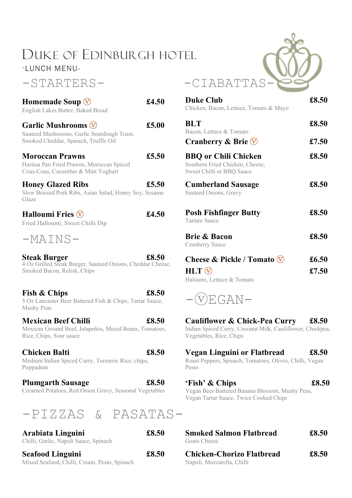# DUKE OF EDINBURGH HOTEL

-LUNCH MENU-

## -STARTERS- -CIABATTAS

| Homemade Soup $\overline{\mathbb{V}}$<br>English Lakes Butter, Baked Bread                                      | £4.50 | <b>Duke Club</b><br>Chicken, Bacon, Lettuce, Tomato & Mayo                                                                       | £8.50 |
|-----------------------------------------------------------------------------------------------------------------|-------|----------------------------------------------------------------------------------------------------------------------------------|-------|
| <b>Garlic Mushrooms V</b><br>Sauteed Mushrooms, Garlic Sourdough Toast,                                         | £5.00 | <b>BLT</b><br>Bacon, Lettuce & Tomato                                                                                            | £8.50 |
| Smoked Cheddar, Spinach, Truffle Oil                                                                            |       | <b>Cranberry &amp; Brie <math>\heartsuit</math></b>                                                                              | £7.50 |
| <b>Moroccan Prawns</b><br>Harissa Pan Fried Prawns, Moroccan Spiced<br>Cous-Cous, Cucumber & Mint Yoghurt       | £5.50 | <b>BBQ or Chili Chicken</b><br>Southern Fried Chicken, Cheese,<br>Sweet Chilli or BBQ Sauce                                      | £8.50 |
| <b>Honey Glazed Ribs</b><br>Slow Braised Pork Ribs, Asian Salad, Honey Soy, Sesame<br>Glaze                     | £5.50 | <b>Cumberland Sausage</b><br>Sauteed Onions, Gravy                                                                               | £8.50 |
| <b>Halloumi Fries <math>\heartsuit</math></b><br>Fried Halloumi, Sweet Chilli Dip                               | £4.50 | <b>Posh Fishfinger Butty</b><br><b>Tartare Sauce</b>                                                                             | £8.50 |
| $-MATNS-$                                                                                                       |       | <b>Brie &amp; Bacon</b><br>Cranberry Sauce                                                                                       | £8.50 |
| <b>Steak Burger</b><br>4 Oz Grilled Steak Burger, Sauteed Onions, Cheddar Cheese,                               | £8.50 | Cheese & Pickle / Tomato V                                                                                                       | £6.50 |
| Smoked Bacon, Relish, Chips                                                                                     |       | $HLT$ $\circledcirc$<br>Haloumi, Lettuce & Tomato                                                                                | £7.50 |
| Fish & Chips<br>5 Oz Lancaster Beer Battered Fish & Chips, Tartar Sauce,<br><b>Mushy Peas</b>                   | £8.50 | VEGAN-                                                                                                                           |       |
| <b>Mexican Beef Chilli</b><br>Mexican Ground Beef, Jalapeños, Mixed Beans, Tomatoes,<br>Rice, Chips, Sour sauce | £8.50 | <b>Cauliflower &amp; Chick-Pea Curry</b><br>Indian Spiced Curry, Coconut Milk, Cauliflower, Chickpea,<br>Vegetables, Rice, Chips | £8.50 |
| <b>Chicken Balti</b><br>Medium Indian Spiced Curry, Turmeric Rice, chips,<br>Poppadum                           | £8.50 | Vegan Linguini or Flatbread<br>Roast Peppers, Spinach, Tomatoes, Olives, Chilli, Vegan<br>Pesto                                  | £8.50 |
| <b>Plumgarth Sausage</b>                                                                                        | £8.50 | 'Fish' & Chips                                                                                                                   | £8.50 |



| <b>Seafood Linguini</b>                                    | £8.50 | <b>Chicken</b>              |
|------------------------------------------------------------|-------|-----------------------------|
| Arabiata Linguini<br>Chilli, Garlic, Napoli Sauce, Spinach | £8.50 | <b>Smoked</b><br>Goats Chee |

Mixed Seafood, Chilli, Cream, Pesto, Spinach



| Homemade Soup $\overline{\mathbb{V}}$<br>English Lakes Butter, Baked Bread                                                     | £4.50          | <b>Duke Club</b><br>Chicken, Bacon, Lettuce, Tomato & Mayo                                           | £8.50          |
|--------------------------------------------------------------------------------------------------------------------------------|----------------|------------------------------------------------------------------------------------------------------|----------------|
| Garlic Mushrooms $\overline{\mathbb{V}}$<br>Sauteed Mushrooms, Garlic Sourdough Toast,<br>Smoked Cheddar, Spinach, Truffle Oil | £5.00          | <b>BLT</b><br>Bacon, Lettuce & Tomato<br>Cranberry & Brie $\overline{\mathbb{V}}$                    | £8.50<br>£7.50 |
| <b>Moroccan Prawns</b><br>Harissa Pan Fried Prawns, Moroccan Spiced<br>Cous-Cous, Cucumber & Mint Yoghurt                      | £5.50          | <b>BBQ or Chili Chicken</b><br>Southern Fried Chicken, Cheese,<br>Sweet Chilli or BBQ Sauce          | £8.50          |
| <b>Honey Glazed Ribs</b><br>Slow Braised Pork Ribs, Asian Salad, Honey Soy, Sesame<br>Glaze                                    | $\pounds$ 5.50 | <b>Cumberland Sausage</b><br>Sauteed Onions, Gravy                                                   | £8.50          |
| Halloumi Fries $\overline{\mathbb{V}}$<br>Fried Halloumi, Sweet Chilli Dip                                                     | £4.50          | <b>Posh Fishfinger Butty</b><br><b>Tartare Sauce</b>                                                 | £8.50          |
| $-MATNS-$                                                                                                                      |                | <b>Brie &amp; Bacon</b><br><b>Cranberry Sauce</b>                                                    | £8.50          |
| <b>Steak Burger</b><br>4 Oz Grilled Steak Burger, Sauteed Onions, Cheddar Cheese,<br>Smoked Bacon, Relish, Chips               | £8.50          | Cheese & Pickle / Tomato $\overline{\mathbb{V}}$<br>$HLT$ $\circled{v}$<br>Haloumi, Lettuce & Tomato | £6.50<br>£7.50 |



# Vegetables, Rice, Chips

Creamed Potatoes, Red Onion Gravy, Seasonal Vegetables  $f\sin' \& Chips$   $£8.50$ Vegan Beer Battered Banana Blossom, Mushy Peas, Vegan Tartar Sauce, Twice Cooked Chips

| <b>Smoked Salmon Flatbread</b><br>Goats Cheese                 | £8.50 |  |
|----------------------------------------------------------------|-------|--|
| <b>Chicken-Chorizo Flatbread</b><br>Napoli, Mozzarella, Chilli | £8.50 |  |